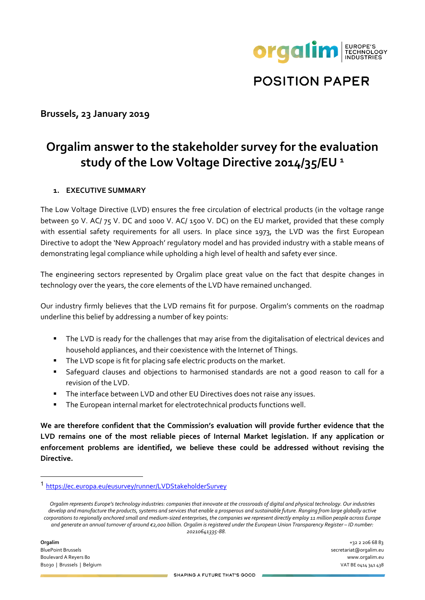

**POSITION PAPER** 

## **Brussels, 23 January 2019**

# **Orgalim answer to the stakeholder survey for the evaluation study of the Low Voltage Directive 2014/35/EU <sup>1</sup>**

## **1. EXECUTIVE SUMMARY**

The Low Voltage Directive (LVD) ensures the free circulation of electrical products (in the voltage range between 50 V. AC/ 75 V. DC and 1000 V. AC/ 1500 V. DC) on the EU market, provided that these comply with essential safety requirements for all users. In place since 1973, the LVD was the first European Directive to adopt the 'New Approach' regulatory model and has provided industry with a stable means of demonstrating legal compliance while upholding a high level of health and safety ever since.

The engineering sectors represented by Orgalim place great value on the fact that despite changes in technology over the years, the core elements of the LVD have remained unchanged.

Our industry firmly believes that the LVD remains fit for purpose. Orgalim's comments on the roadmap underline this belief by addressing a number of key points:

- The LVD is ready for the challenges that may arise from the digitalisation of electrical devices and household appliances, and their coexistence with the Internet of Things.
- **The LVD scope is fit for placing safe electric products on the market.**
- Safeguard clauses and objections to harmonised standards are not a good reason to call for a revision of the LVD.
- The interface between LVD and other EU Directives does not raise any issues.
- The European internal market for electrotechnical products functions well.

**We are therefore confident that the Commission's evaluation will provide further evidence that the LVD remains one of the most reliable pieces of Internal Market legislation. If any application or enforcement problems are identified, we believe these could be addressed without revising the Directive.**

**Orgalim** +32 2 206 68 83 BluePoint Brussels secretariat@orgalim.eu Boulevard A Reyers 80 www.orgalim.eu B1030 | Brussels | Belgium VAT BE 0414 341 438

<sup>1</sup> <https://ec.europa.eu/eusurvey/runner/LVDStakeholderSurvey>

*Orgalim represents Europe's technology industries: companies that innovate at the crossroads of digital and physical technology. Our industries develop and manufacture the products, systems and services that enable a prosperous and sustainable future. Ranging from large globally active corporations to regionally anchored small and medium-sized enterprises, the companies we represent directly employ 11 million people across Europe and generate an annual turnover of around €2,000 billion. Orgalim is registered under the European Union Transparency Register – ID number: 20210641335-88.*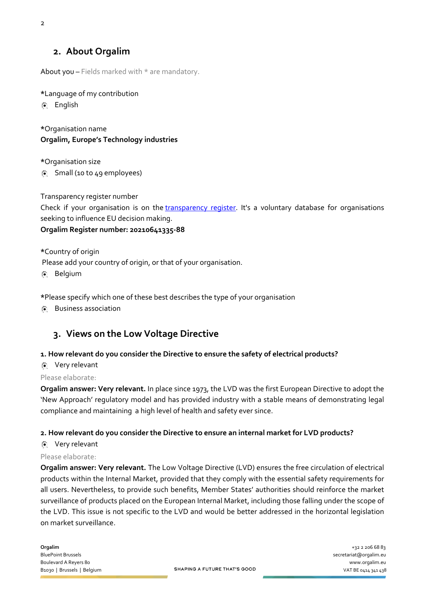## **2. About Orgalim**

About you  $-$  Fields marked with  $*$  are mandatory.

**\***Language of my contribution

English

**\***Organisation name **Orgalim, Europe's Technology industries**

**\***Organisation size

Small (10 to 49 employees)

Transparency register number

Check if your organisation is on the [transparency register](http://ec.europa.eu/transparencyregister/public/homePage.do). It's a voluntary database for organisations seeking to influence EU decision making.

## **Orgalim Register number: 20210641335-88**

**\***Country of origin Please add your country of origin, or that of your organisation.

Belgium

**\***Please specify which one of these best describes the type of your organisation

Business association

# **3. Views on the Low Voltage Directive**

### **1. How relevant do you consider the Directive to ensure the safety of electrical products?**

Very relevant

Please elaborate:

**Orgalim answer: Very relevant.** In place since 1973, the LVD was the first European Directive to adopt the 'New Approach' regulatory model and has provided industry with a stable means of demonstrating legal compliance and maintaining a high level of health and safety ever since.

### **2. How relevant do you consider the Directive to ensure an internal market for LVD products?**

Very relevant

### Please elaborate:

**Orgalim answer: Very relevant.** The Low Voltage Directive (LVD) ensures the free circulation of electrical products within the Internal Market, provided that they comply with the essential safety requirements for all users. Nevertheless, to provide such benefits, Member States' authorities should reinforce the market surveillance of products placed on the European Internal Market, including those falling under the scope of the LVD. This issue is not specific to the LVD and would be better addressed in the horizontal legislation on market surveillance.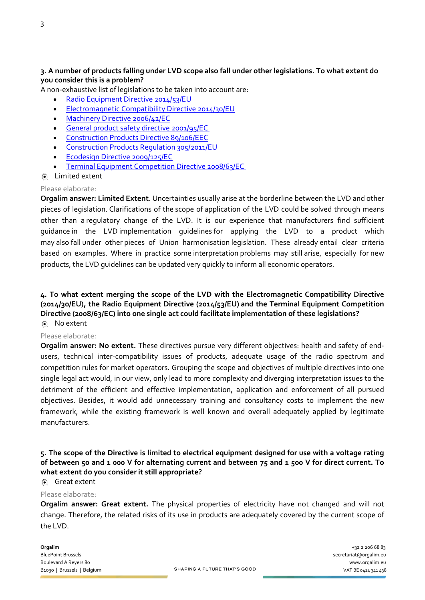## **3. A number of products falling under LVD scope also fall under other legislations. To what extent do you consider this is a problem?**

A non-exhaustive list of legislations to be taken into account are:

- [Radio Equipment Directive 2014/53/EU](http://eur-lex.europa.eu/legal-content/EN/TXT/?uri=CELEX:32014L0053&locale=en%20)
- **[Electromagnetic Compatibility Directive 2014/30/EU](https://eur-lex.europa.eu/legal-content/EN/TXT/?uri=CELEX:32014L0030)**
- [Machinery Directive 2006/42/EC](https://eur-lex.europa.eu/legal-content/EN/TXT/?uri=CELEX:32006L0042&locale=en%20)
- [General product safety directive 2001/95/EC](https://eur-lex.europa.eu/legal-content/EN/ALL/?uri=CELEX:32001L0095)
- **[Construction Products Directive 89/106/EEC](https://eur-lex.europa.eu/legal-content/EN/TXT/?uri=CELEX:31989L0106&locale=en)**
- **[Construction Products Regulation 305/2011/EU](https://eur-lex.europa.eu/legal-content/EN/TXT/?uri=CELEX:32011R0305&locale=en)**
- **[Ecodesign Directive 2009/125/EC](https://eur-lex.europa.eu/legal-content/EN/TXT/?uri=CELEX:32009L0125)**
- [Terminal Equipment Competition Directive 2008/63/EC](https://publications.europa.eu/en/publication-detail/-/publication/6f92ebd4-8d22-4ddc-a055-861278bbba61/language-en)
- Limited extent

#### Please elaborate:

**Orgalim answer: Limited Extent**. Uncertainties usually arise at the borderline between the LVD and other pieces of legislation. Clarifications of the scope of application of the LVD could be solved through means other than a regulatory change of the LVD. It is our experience that manufacturers find sufficient guidance in the LVD implementation guidelines for applying the LVD to a product which may also fall under other pieces of Union harmonisation legislation. These already entail clear criteria based on examples. Where in practice some interpretation problems may still arise, especially for new products, the LVD guidelines can be updated very quickly to inform all economic operators.

#### **4. To what extent merging the scope of the LVD with the Electromagnetic Compatibility Directive (2014/30/EU), the Radio Equipment Directive (2014/53/EU) and the Terminal Equipment Competition Directive (2008/63/EC) into one single act could facilitate implementation of these legislations?** No extent

#### Please elaborate:

**Orgalim answer: No extent.** These directives pursue very different objectives: health and safety of endusers, technical inter-compatibility issues of products, adequate usage of the radio spectrum and competition rules for market operators. Grouping the scope and objectives of multiple directives into one single legal act would, in our view, only lead to more complexity and diverging interpretation issues to the detriment of the efficient and effective implementation, application and enforcement of all pursued objectives. Besides, it would add unnecessary training and consultancy costs to implement the new framework, while the existing framework is well known and overall adequately applied by legitimate manufacturers.

## **5. The scope of the Directive is limited to electrical equipment designed for use with a voltage rating of between 50 and 1 000 V for alternating current and between 75 and 1 500 V for direct current. To what extent do you consider it still appropriate?**

## Great extent

#### Please elaborate:

**Orgalim answer: Great extent.** The physical properties of electricity have not changed and will not change. Therefore, the related risks of its use in products are adequately covered by the current scope of the LVD.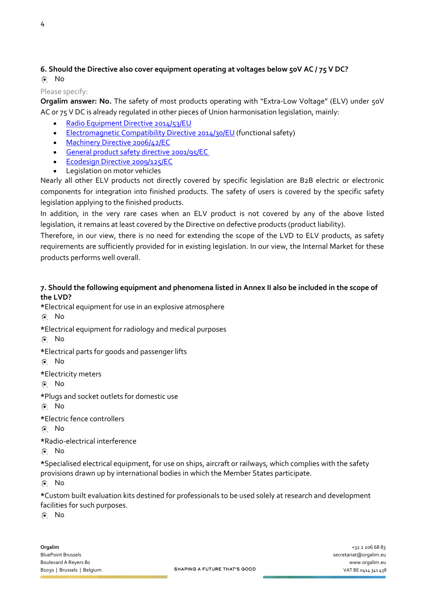## **6. Should the Directive also cover equipment operating at voltages below 50V AC / 75 V DC?** No

#### Please specify:

**Orgalim answer: No.** The safety of most products operating with "Extra-Low Voltage" (ELV) under 50V AC or 75 V DC is already regulated in other pieces of Union harmonisation legislation, mainly:

- [Radio Equipment Directive 2014/53/EU](http://eur-lex.europa.eu/legal-content/EN/TXT/?uri=CELEX:32014L0053&locale=en%20)
- [Electromagnetic Compatibility Directive 2014/30/EU](https://eur-lex.europa.eu/legal-content/EN/TXT/?uri=CELEX:32014L0030) (functional safety)
- [Machinery Directive 2006/42/EC](https://eur-lex.europa.eu/legal-content/EN/TXT/?uri=CELEX:32006L0042&locale=en%20)
- **General product safety directive 2001/95/EC**
- **[Ecodesign Directive 2009/125/EC](https://eur-lex.europa.eu/legal-content/EN/TXT/?uri=CELEX:32009L0125)**
- Legislation on motor vehicles

Nearly all other ELV products not directly covered by specific legislation are B2B electric or electronic components for integration into finished products. The safety of users is covered by the specific safety legislation applying to the finished products.

In addition, in the very rare cases when an ELV product is not covered by any of the above listed legislation, it remains at least covered by the Directive on defective products (product liability).

Therefore, in our view, there is no need for extending the scope of the LVD to ELV products, as safety requirements are sufficiently provided for in existing legislation. In our view, the Internal Market for these products performs well overall.

## **7. Should the following equipment and phenomena listed in Annex II also be included in the scope of the LVD?**

**\***Electrical equipment for use in an explosive atmosphere

No

**\***Electrical equipment for radiology and medical purposes

No

**\***Electrical parts for goods and passenger lifts

No

**\***Electricity meters

No

**\***Plugs and socket outlets for domestic use

No

**\***Electric fence controllers

No

**\***Radio-electrical interference

No

**\***Specialised electrical equipment, for use on ships, aircraft or railways, which complies with the safety provisions drawn up by international bodies in which the Member States participate.

No

**\***Custom built evaluation kits destined for professionals to be used solely at research and development facilities for such purposes.

No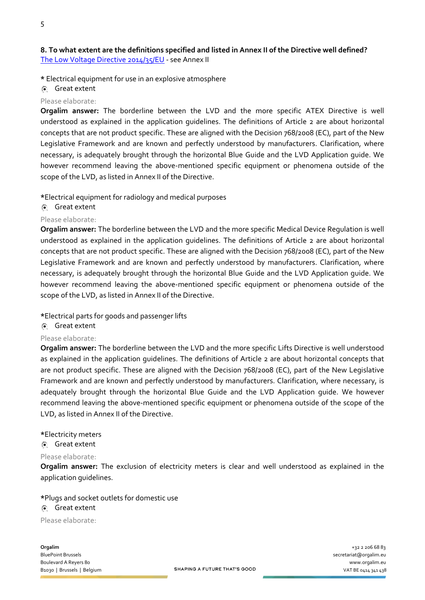## **8. To what extent are the definitions specified and listed in Annex II of the Directive well defined?** [The Low Voltage Directive 2014/35/EU](http://eur-lex.europa.eu/legal-content/EN/TXT/?uri=CELEX:32014L0035&locale=en) - see Annex II

**\*** Electrical equipment for use in an explosive atmosphere

Great extent

#### Please elaborate:

**Orgalim answer:** The borderline between the LVD and the more specific ATEX Directive is well understood as explained in the application guidelines. The definitions of Article 2 are about horizontal concepts that are not product specific. These are aligned with the Decision 768/2008 (EC), part of the New Legislative Framework and are known and perfectly understood by manufacturers. Clarification, where necessary, is adequately brought through the horizontal Blue Guide and the LVD Application guide. We however recommend leaving the above-mentioned specific equipment or phenomena outside of the scope of the LVD, as listed in Annex II of the Directive.

**\***Electrical equipment for radiology and medical purposes

## Great extent

#### Please elaborate:

**Orgalim answer:** The borderline between the LVD and the more specific Medical Device Regulation is well understood as explained in the application guidelines. The definitions of Article 2 are about horizontal concepts that are not product specific. These are aligned with the Decision 768/2008 (EC), part of the New Legislative Framework and are known and perfectly understood by manufacturers. Clarification, where necessary, is adequately brought through the horizontal Blue Guide and the LVD Application guide. We however recommend leaving the above-mentioned specific equipment or phenomena outside of the scope of the LVD, as listed in Annex II of the Directive.

**\***Electrical parts for goods and passenger lifts

### Great extent

#### Please elaborate:

**Orgalim answer:** The borderline between the LVD and the more specific Lifts Directive is well understood as explained in the application guidelines. The definitions of Article 2 are about horizontal concepts that are not product specific. These are aligned with the Decision 768/2008 (EC), part of the New Legislative Framework and are known and perfectly understood by manufacturers. Clarification, where necessary, is adequately brought through the horizontal Blue Guide and the LVD Application guide. We however recommend leaving the above-mentioned specific equipment or phenomena outside of the scope of the LVD, as listed in Annex II of the Directive.

#### **\***Electricity meters

#### Great extent

#### Please elaborate:

**Orgalim answer:** The exclusion of electricity meters is clear and well understood as explained in the application guidelines.

#### **\***Plugs and socket outlets for domestic use

#### Great extent

Please elaborate:

**Orgalim**  $+3222066883$ BluePoint Brussels secretariat@orgalim.eu Boulevard A Reyers 80 www.orgalim.eu<br>Banco L Brussels L Belgium **SHAPING A FUTURE THAT'S GOOD** Brussels A Register of the UAT BE 044 214 218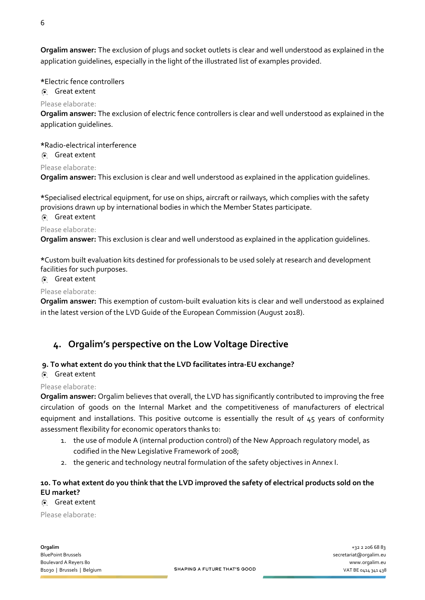**Orgalim answer:** The exclusion of plugs and socket outlets is clear and well understood as explained in the application guidelines, especially in the light of the illustrated list of examples provided.

#### **\***Electric fence controllers

Great extent

#### Please elaborate:

**Orgalim answer:** The exclusion of electric fence controllers is clear and well understood as explained in the application guidelines.

# **\***Radio-electrical interference

# Great extent

## Please elaborate:

**Orgalim answer:** This exclusion is clear and well understood as explained in the application guidelines.

**\***Specialised electrical equipment, for use on ships, aircraft or railways, which complies with the safety provisions drawn up by international bodies in which the Member States participate.

## Great extent

#### Please elaborate:

**Orgalim answer:** This exclusion is clear and well understood as explained in the application guidelines.

**\***Custom built evaluation kits destined for professionals to be used solely at research and development facilities for such purposes.

### Great extent

#### Please elaborate:

**Orgalim answer:** This exemption of custom-built evaluation kits is clear and well understood as explained in the latest version of the LVD Guide of the European Commission (August 2018).

## **4. Orgalim's perspective on the Low Voltage Directive**

### **9. To what extent do you think that the LVD facilitates intra-EU exchange?**

## Great extent

#### Please elaborate:

**Orgalim answer:** Orgalim believes that overall, the LVD has significantly contributed to improving the free circulation of goods on the Internal Market and the competitiveness of manufacturers of electrical equipment and installations. This positive outcome is essentially the result of 45 years of conformity assessment flexibility for economic operators thanks to:

- 1. the use of module A (internal production control) of the New Approach regulatory model, as codified in the New Legislative Framework of 2008;
- 2. the generic and technology neutral formulation of the safety objectives in Annex I.

## **10. To what extent do you think that the LVD improved the safety of electrical products sold on the EU market?**

## Great extent

Please elaborate: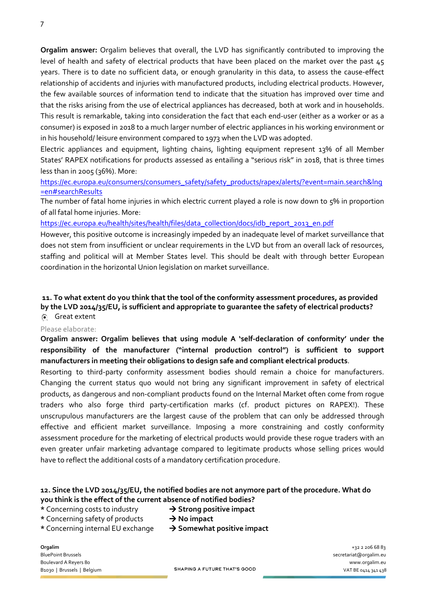**Orgalim answer:** Orgalim believes that overall, the LVD has significantly contributed to improving the level of health and safety of electrical products that have been placed on the market over the past 45 years. There is to date no sufficient data, or enough granularity in this data, to assess the cause-effect relationship of accidents and injuries with manufactured products, including electrical products. However, the few available sources of information tend to indicate that the situation has improved over time and that the risks arising from the use of electrical appliances has decreased, both at work and in households. This result is remarkable, taking into consideration the fact that each end-user (either as a worker or as a consumer) is exposed in 2018 to a much larger number of electric appliances in his working environment or in his household/ leisure environment compared to 1973 when the LVD was adopted.

Electric appliances and equipment, lighting chains, lighting equipment represent 13% of all Member States' RAPEX notifications for products assessed as entailing a "serious risk" in 2018, that is three times less than in 2005 (36%). More:

[https://ec.europa.eu/consumers/consumers\\_safety/safety\\_products/rapex/alerts/?event=main.search&lng](https://ec.europa.eu/consumers/consumers_safety/safety_products/rapex/alerts/?event=main.search&lng=en#searchResults) [=en#searchResults](https://ec.europa.eu/consumers/consumers_safety/safety_products/rapex/alerts/?event=main.search&lng=en#searchResults)

The number of fatal home injuries in which electric current played a role is now down to 5% in proportion of all fatal home injuries. More:

[https://ec.europa.eu/health/sites/health/files/data\\_collection/docs/idb\\_report\\_2013\\_en.pdf](https://ec.europa.eu/health/sites/health/files/data_collection/docs/idb_report_2013_en.pdf)

However, this positive outcome is increasingly impeded by an inadequate level of market surveillance that does not stem from insufficient or unclear requirements in the LVD but from an overall lack of resources, staffing and political will at Member States level. This should be dealt with through better European coordination in the horizontal Union legislation on market surveillance.

#### **11. To what extent do you think that the tool of the conformity assessment procedures, as provided by the LVD 2014/35/EU, is sufficient and appropriate to guarantee the safety of electrical products?**  Great extent

#### Please elaborate:

**Orgalim answer: Orgalim believes that using module A 'self-declaration of conformity' under the responsibility of the manufacturer ("internal production control") is sufficient to support manufacturers in meeting their obligations to design safe and compliant electrical products**.

Resorting to third-party conformity assessment bodies should remain a choice for manufacturers. Changing the current status quo would not bring any significant improvement in safety of electrical products, as dangerous and non-compliant products found on the Internal Market often come from rogue traders who also forge third party-certification marks (cf. product pictures on RAPEX!). These unscrupulous manufacturers are the largest cause of the problem that can only be addressed through effective and efficient market surveillance. Imposing a more constraining and costly conformity assessment procedure for the marketing of electrical products would provide these rogue traders with an even greater unfair marketing advantage compared to legitimate products whose selling prices would have to reflect the additional costs of a mandatory certification procedure.

## **12. Since the LVD 2014/35/EU, the notified bodies are not anymore part of the procedure. What do you think is the effect of the current absence of notified bodies?**

#### \* Concerning costs to industry  $\rightarrow$  **Strong positive impact**

- \* Concerning safety of products  $\rightarrow$  **No impact**
- 
- \* Concerning internal EU exchange  $\rightarrow$  **Somewhat positive impact**

**Orgalim** +32 2 206 68 83 BluePoint Brussels secretariat@orgalim.eu Boulevard A Reyers 80 www.orgalim.eu<br>Banco L Brussels L Belgium **SHAPING A FUTURE THAT'S GOOD** Brussels A Register of the UAT BE 044 214 218 B1030 | Brussels | Belgium VAT BE 0414 341 438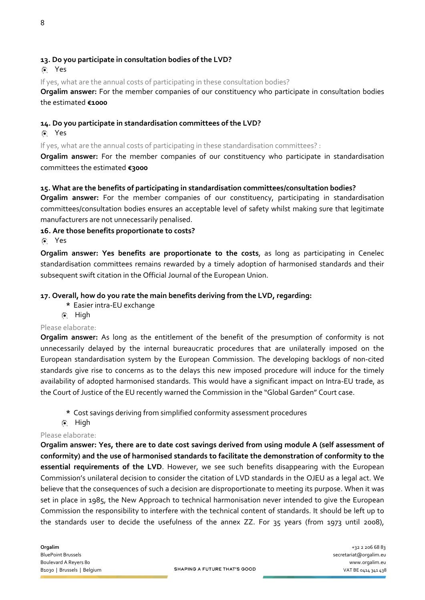### Yes

If yes, what are the annual costs of participating in these consultation bodies?

**Orgalim answer:** For the member companies of our constituency who participate in consultation bodies the estimated **€1000**

## **14. Do you participate in standardisation committees of the LVD?**

### Yes

If yes, what are the annual costs of participating in these standardisation committees? :

**Orgalim answer:** For the member companies of our constituency who participate in standardisation committees the estimated **€3000**

## **15. What are the benefits of participating in standardisation committees/consultation bodies?**

**Orgalim answer:** For the member companies of our constituency, participating in standardisation committees/consultation bodies ensures an acceptable level of safety whilst making sure that legitimate manufacturers are not unnecessarily penalised.

## **16. Are those benefits proportionate to costs?**

Yes

**Orgalim answer: Yes benefits are proportionate to the costs**, as long as participating in Cenelec standardisation committees remains rewarded by a timely adoption of harmonised standards and their subsequent swift citation in the Official Journal of the European Union.

## **17. Overall, how do you rate the main benefits deriving from the LVD, regarding:**

- **\*** Easier intra-EU exchange
- 间 High

### Please elaborate:

**Orgalim answer:** As long as the entitlement of the benefit of the presumption of conformity is not unnecessarily delayed by the internal bureaucratic procedures that are unilaterally imposed on the European standardisation system by the European Commission. The developing backlogs of non-cited standards give rise to concerns as to the delays this new imposed procedure will induce for the timely availability of adopted harmonised standards. This would have a significant impact on Intra-EU trade, as the Court of Justice of the EU recently warned the Commission in the "Global Garden" Court case.

- **\*** Cost savings deriving from simplified conformity assessment procedures
- 图 High

### Please elaborate:

**Orgalim answer: Yes, there are to date cost savings derived from using module A (self assessment of conformity) and the use of harmonised standards to facilitate the demonstration of conformity to the essential requirements of the LVD**. However, we see such benefits disappearing with the European Commission's unilateral decision to consider the citation of LVD standards in the OJEU as a legal act. We believe that the consequences of such a decision are disproportionate to meeting its purpose. When it was set in place in 1985, the New Approach to technical harmonisation never intended to give the European Commission the responsibility to interfere with the technical content of standards. It should be left up to the standards user to decide the usefulness of the annex ZZ. For 35 years (from 1973 until 2008),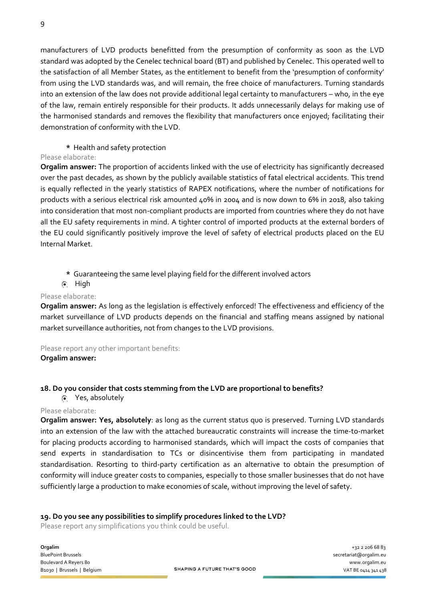manufacturers of LVD products benefitted from the presumption of conformity as soon as the LVD standard was adopted by the Cenelec technical board (BT) and published by Cenelec. This operated well to the satisfaction of all Member States, as the entitlement to benefit from the 'presumption of conformity' from using the LVD standards was, and will remain, the free choice of manufacturers. Turning standards into an extension of the law does not provide additional legal certainty to manufacturers – who, in the eye of the law, remain entirely responsible for their products. It adds unnecessarily delays for making use of the harmonised standards and removes the flexibility that manufacturers once enjoyed; facilitating their demonstration of conformity with the LVD.

## **\*** Health and safety protection

### Please elaborate:

**Orgalim answer:** The proportion of accidents linked with the use of electricity has significantly decreased over the past decades, as shown by the publicly available statistics of fatal electrical accidents. This trend is equally reflected in the yearly statistics of RAPEX notifications, where the number of notifications for products with a serious electrical risk amounted 40% in 2004 and is now down to 6% in 2018, also taking into consideration that most non-compliant products are imported from countries where they do not have all the EU safety requirements in mind. A tighter control of imported products at the external borders of the EU could significantly positively improve the level of safety of electrical products placed on the EU Internal Market.

**\*** Guaranteeing the same level playing field for the different involved actors

## **A** High

### Please elaborate:

**Orgalim answer:** As long as the legislation is effectively enforced! The effectiveness and efficiency of the market surveillance of LVD products depends on the financial and staffing means assigned by national market surveillance authorities, not from changes to the LVD provisions.

Please report any other important benefits:

### **Orgalim answer:**

# **18. Do you consider that costs stemming from the LVD are proportional to benefits?**

Yes, absolutely

### Please elaborate:

**Orgalim answer: Yes, absolutely**: as long as the current status quo is preserved. Turning LVD standards into an extension of the law with the attached bureaucratic constraints will increase the time-to-market for placing products according to harmonised standards, which will impact the costs of companies that send experts in standardisation to TCs or disincentivise them from participating in mandated standardisation. Resorting to third-party certification as an alternative to obtain the presumption of conformity will induce greater costs to companies, especially to those smaller businesses that do not have sufficiently large a production to make economies of scale, without improving the level of safety.

### **19. Do you see any possibilities to simplify procedures linked to the LVD?**

Please report any simplifications you think could be useful.

**Orgalim**  $+3222066883$ BluePoint Brussels secretariat@orgalim.eu Boulevard A Reyers 80 www.orgalim.eu<br>Banco L Brussels L Belgium **SHAPING A FUTURE THAT'S GOOD** Banco L Brussels L Belgium 2012/2012